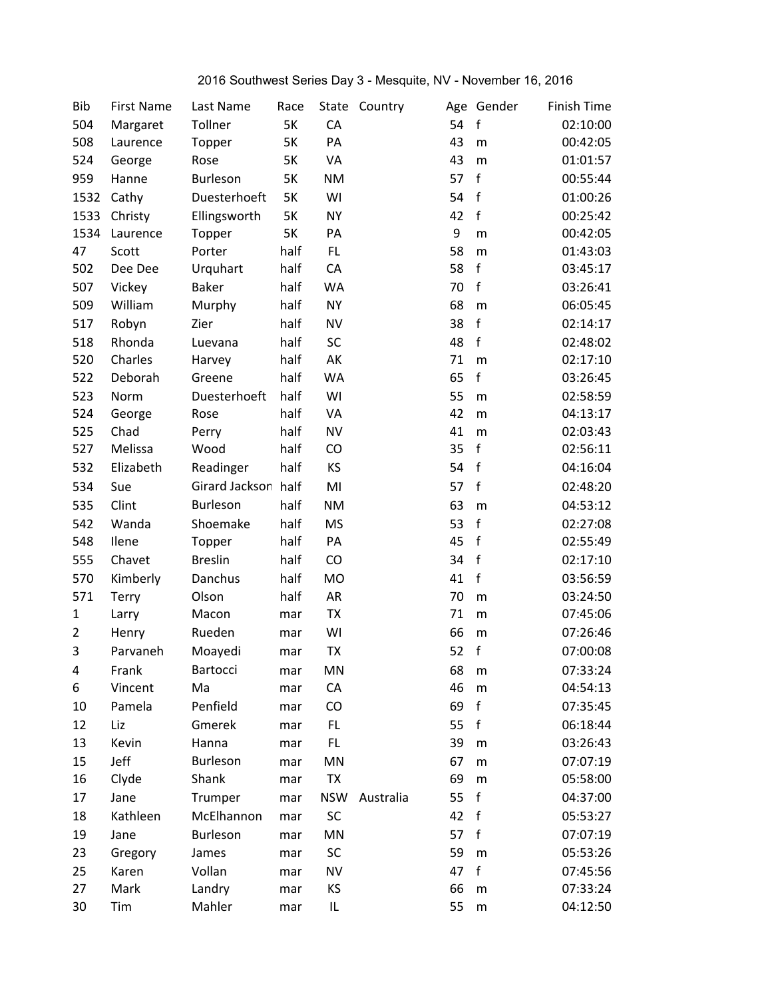## 2016 Southwest Series Day 3 - Mesquite, NV - November 16, 2016

| <b>Bib</b>     | <b>First Name</b> | Last Name       | Race      | State      | Country   |    | Age Gender   | Finish Time |
|----------------|-------------------|-----------------|-----------|------------|-----------|----|--------------|-------------|
| 504            | Margaret          | Tollner         | 5K        | CA         |           | 54 | $\mathsf f$  | 02:10:00    |
| 508            | Laurence          | Topper          | 5K        | PA         |           | 43 | m            | 00:42:05    |
| 524            | George            | Rose            | 5K        | VA         |           | 43 | m            | 01:01:57    |
| 959            | Hanne             | Burleson        | 5K        | <b>NM</b>  |           | 57 | f            | 00:55:44    |
| 1532           | Cathy             | Duesterhoeft    | <b>5K</b> | WI         |           | 54 | $\mathbf f$  | 01:00:26    |
| 1533           | Christy           | Ellingsworth    | 5K        | <b>NY</b>  |           | 42 | $\mathsf f$  | 00:25:42    |
| 1534           | Laurence          | Topper          | 5K        | PA         |           | 9  | m            | 00:42:05    |
| 47             | Scott             | Porter          | half      | FL.        |           | 58 | m            | 01:43:03    |
| 502            | Dee Dee           | Urquhart        | half      | CA         |           | 58 | $\mathsf f$  | 03:45:17    |
| 507            | Vickey            | <b>Baker</b>    | half      | WA         |           | 70 | f            | 03:26:41    |
| 509            | William           | Murphy          | half      | <b>NY</b>  |           | 68 | m            | 06:05:45    |
| 517            | Robyn             | Zier            | half      | <b>NV</b>  |           | 38 | $\mathsf f$  | 02:14:17    |
| 518            | Rhonda            | Luevana         | half      | SC         |           | 48 | $\mathsf f$  | 02:48:02    |
| 520            | Charles           | Harvey          | half      | AK         |           | 71 | m            | 02:17:10    |
| 522            | Deborah           | Greene          | half      | WA         |           | 65 | $\mathsf{f}$ | 03:26:45    |
| 523            | Norm              | Duesterhoeft    | half      | WI         |           | 55 | m            | 02:58:59    |
| 524            | George            | Rose            | half      | VA         |           | 42 | m            | 04:13:17    |
| 525            | Chad              | Perry           | half      | <b>NV</b>  |           | 41 | m            | 02:03:43    |
| 527            | Melissa           | Wood            | half      | CO         |           | 35 | f            | 02:56:11    |
| 532            | Elizabeth         | Readinger       | half      | KS         |           | 54 | $\mathbf f$  | 04:16:04    |
| 534            | Sue               | Girard Jackson  | half      | MI         |           | 57 | $\mathsf f$  | 02:48:20    |
| 535            | Clint             | Burleson        | half      | <b>NM</b>  |           | 63 | m            | 04:53:12    |
| 542            | Wanda             | Shoemake        | half      | <b>MS</b>  |           | 53 | f            | 02:27:08    |
| 548            | Ilene             | Topper          | half      | PA         |           | 45 | $\mathbf f$  | 02:55:49    |
| 555            | Chavet            | <b>Breslin</b>  | half      | CO         |           | 34 | $\mathbf f$  | 02:17:10    |
| 570            | Kimberly          | Danchus         | half      | <b>MO</b>  |           | 41 | $\mathsf f$  | 03:56:59    |
| 571            | <b>Terry</b>      | Olson           | half      | AR         |           | 70 | m            | 03:24:50    |
| $\mathbf{1}$   | Larry             | Macon           | mar       | TX         |           | 71 | m            | 07:45:06    |
| $\overline{2}$ | Henry             | Rueden          | mar       | WI         |           | 66 | m            | 07:26:46    |
| 3              | Parvaneh          | Moayedi         | mar       | <b>TX</b>  |           | 52 | $\mathsf f$  | 07:00:08    |
| 4              | Frank             | Bartocci        | mar       | MN         |           | 68 | m            | 07:33:24    |
| 6              | Vincent           | Ma              | mar       | ${\sf CA}$ |           | 46 | m            | 04:54:13    |
| 10             | Pamela            | Penfield        | mar       | CO         |           | 69 | $\mathsf f$  | 07:35:45    |
| 12             | Liz               | Gmerek          | mar       | FL.        |           | 55 | $\mathbf f$  | 06:18:44    |
| 13             | Kevin             | Hanna           | mar       | FL.        |           | 39 | m            | 03:26:43    |
| 15             | Jeff              | <b>Burleson</b> | mar       | MN         |           | 67 | m            | 07:07:19    |
| 16             | Clyde             | Shank           | mar       | TX         |           | 69 | m            | 05:58:00    |
| 17             | Jane              | Trumper         | mar       | <b>NSW</b> | Australia | 55 | $\mathsf f$  | 04:37:00    |
| 18             | Kathleen          | McElhannon      | mar       | SC         |           | 42 | $\mathbf{f}$ | 05:53:27    |
| 19             | Jane              | Burleson        | mar       | MN         |           | 57 | $\mathbf{f}$ | 07:07:19    |
| 23             | Gregory           | James           | mar       | SC         |           | 59 | m            | 05:53:26    |
| 25             | Karen             | Vollan          | mar       | <b>NV</b>  |           | 47 | f            | 07:45:56    |
| 27             | Mark              | Landry          | mar       | KS         |           | 66 | m            | 07:33:24    |
| 30             | Tim               | Mahler          | mar       | IL         |           | 55 | m            | 04:12:50    |